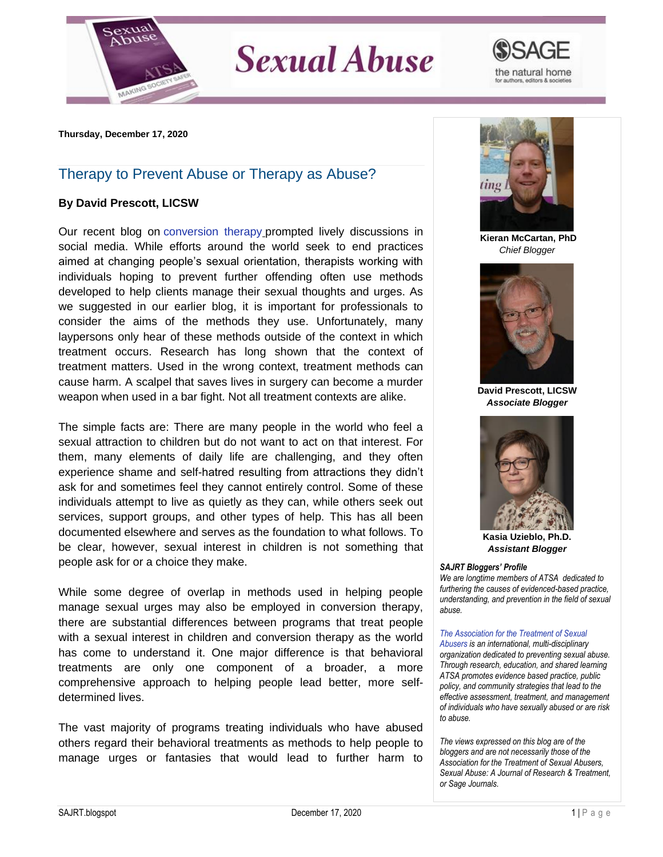

## **Sexual Abuse**



**Thursday, December 17, 2020**

## Therapy to Prevent Abuse or Therapy as Abuse?

## **By David Prescott, LICSW**

Our recent blog on [conversion therapy](https://blog.atsa.com/2020/11/in-news-conversion-therapy-in-us-and.html) prompted lively discussions in social media. While efforts around the world seek to end practices aimed at changing people's sexual orientation, therapists working with individuals hoping to prevent further offending often use methods developed to help clients manage their sexual thoughts and urges. As we suggested in our earlier blog, it is important for professionals to consider the aims of the methods they use. Unfortunately, many laypersons only hear of these methods outside of the context in which treatment occurs. Research has long shown that the context of treatment matters. Used in the wrong context, treatment methods can cause harm. A scalpel that saves lives in surgery can become a murder weapon when used in a bar fight. Not all treatment contexts are alike.

The simple facts are: There are many people in the world who feel a sexual attraction to children but do not want to act on that interest. For them, many elements of daily life are challenging, and they often experience shame and self-hatred resulting from attractions they didn't ask for and sometimes feel they cannot entirely control. Some of these individuals attempt to live as quietly as they can, while others seek out services, support groups, and other types of help. This has all been documented elsewhere and serves as the foundation to what follows. To be clear, however, sexual interest in children is not something that people ask for or a choice they make.

While some degree of overlap in methods used in helping people manage sexual urges may also be employed in conversion therapy, there are substantial differences between programs that treat people with a sexual interest in children and conversion therapy as the world has come to understand it. One major difference is that behavioral treatments are only one component of a broader, a more comprehensive approach to helping people lead better, more selfdetermined lives.

The vast majority of programs treating individuals who have abused others regard their behavioral treatments as methods to help people to manage urges or fantasies that would lead to further harm to



**Kieran McCartan, PhD** *Chief Blogger*



**David Prescott, LICSW** *Associate Blogger*



**Kasia Uzieblo, Ph.D.** *Assistant Blogger*

## *SAJRT Bloggers' Profile*

*We are longtime members of ATSA dedicated to furthering the causes of evidenced-based practice, understanding, and prevention in the field of sexual abuse.*

*[The Association for the Treatment of Sexual](http://atsa.com/)  [Abusers](http://atsa.com/) is an international, multi-disciplinary organization dedicated to preventing sexual abuse. Through research, education, and shared learning ATSA promotes evidence based practice, public policy, and community strategies that lead to the effective assessment, treatment, and management of individuals who have sexually abused or are risk to abuse.* 

*The views expressed on this blog are of the bloggers and are not necessarily those of the Association for the Treatment of Sexual Abusers, Sexual Abuse: A Journal of Research & Treatment, or Sage Journals.*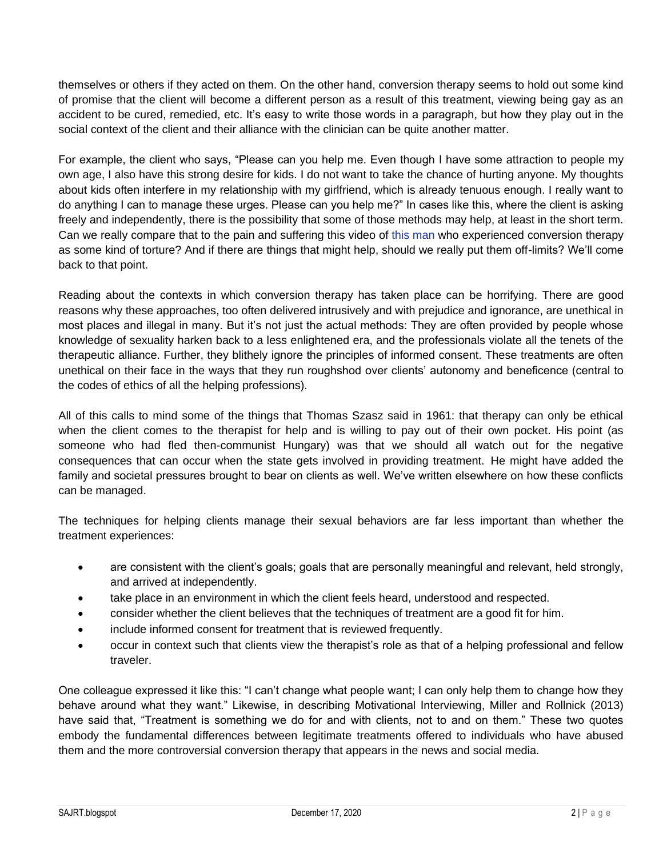themselves or others if they acted on them. On the other hand, conversion therapy seems to hold out some kind of promise that the client will become a different person as a result of this treatment, viewing being gay as an accident to be cured, remedied, etc. It's easy to write those words in a paragraph, but how they play out in the social context of the client and their alliance with the clinician can be quite another matter.

For example, the client who says, "Please can you help me. Even though I have some attraction to people my own age, I also have this strong desire for kids. I do not want to take the chance of hurting anyone. My thoughts about kids often interfere in my relationship with my girlfriend, which is already tenuous enough. I really want to do anything I can to manage these urges. Please can you help me?" In cases like this, where the client is asking freely and independently, there is the possibility that some of those methods may help, at least in the short term. Can we really compare that to the pain and suffering this video of [this man](https://www.youtube.com/watch?v=FsBfd9FjagI) who experienced conversion therapy as some kind of torture? And if there are things that might help, should we really put them off-limits? We'll come back to that point.

Reading about the contexts in which conversion therapy has taken place can be horrifying. There are good reasons why these approaches, too often delivered intrusively and with prejudice and ignorance, are unethical in most places and illegal in many. But it's not just the actual methods: They are often provided by people whose knowledge of sexuality harken back to a less enlightened era, and the professionals violate all the tenets of the therapeutic alliance. Further, they blithely ignore the principles of informed consent. These treatments are often unethical on their face in the ways that they run roughshod over clients' autonomy and beneficence (central to the codes of ethics of all the helping professions).

All of this calls to mind some of the things that Thomas Szasz said in 1961: that therapy can only be ethical when the client comes to the therapist for help and is willing to pay out of their own pocket. His point (as someone who had fled then-communist Hungary) was that we should all watch out for the negative consequences that can occur when the state gets involved in providing treatment. He might have added the family and societal pressures brought to bear on clients as well. We've written elsewhere on how these conflicts can be managed.

The techniques for helping clients manage their sexual behaviors are far less important than whether the treatment experiences:

- are consistent with the client's goals; goals that are personally meaningful and relevant, held strongly, and arrived at independently.
- take place in an environment in which the client feels heard, understood and respected.
- consider whether the client believes that the techniques of treatment are a good fit for him.
- include informed consent for treatment that is reviewed frequently.
- occur in context such that clients view the therapist's role as that of a helping professional and fellow traveler.

One colleague expressed it like this: "I can't change what people want; I can only help them to change how they behave around what they want." Likewise, in describing Motivational Interviewing, Miller and Rollnick (2013) have said that, "Treatment is something we do for and with clients, not to and on them." These two quotes embody the fundamental differences between legitimate treatments offered to individuals who have abused them and the more controversial conversion therapy that appears in the news and social media.